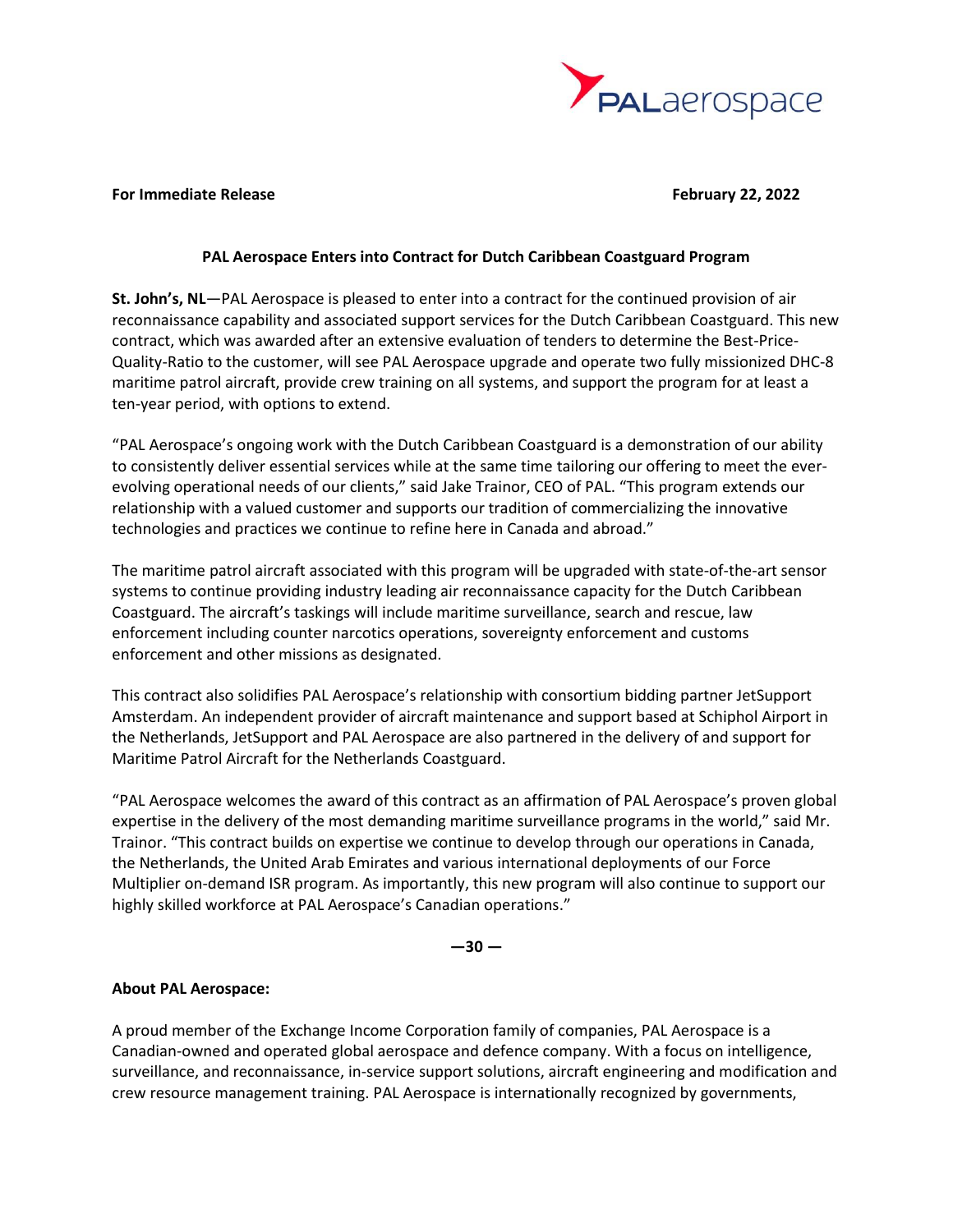

#### **For Immediate Release February 22, 2022**

### **PAL Aerospace Enters into Contract for Dutch Caribbean Coastguard Program**

**St. John's, NL**—PAL Aerospace is pleased to enter into a contract for the continued provision of air reconnaissance capability and associated support services for the Dutch Caribbean Coastguard. This new contract, which was awarded after an extensive evaluation of tenders to determine the Best-Price-Quality-Ratio to the customer, will see PAL Aerospace upgrade and operate two fully missionized DHC-8 maritime patrol aircraft, provide crew training on all systems, and support the program for at least a ten-year period, with options to extend.

"PAL Aerospace's ongoing work with the Dutch Caribbean Coastguard is a demonstration of our ability to consistently deliver essential services while at the same time tailoring our offering to meet the everevolving operational needs of our clients," said Jake Trainor, CEO of PAL. "This program extends our relationship with a valued customer and supports our tradition of commercializing the innovative technologies and practices we continue to refine here in Canada and abroad."

The maritime patrol aircraft associated with this program will be upgraded with state-of-the-art sensor systems to continue providing industry leading air reconnaissance capacity for the Dutch Caribbean Coastguard. The aircraft's taskings will include maritime surveillance, search and rescue, law enforcement including counter narcotics operations, sovereignty enforcement and customs enforcement and other missions as designated.

This contract also solidifies PAL Aerospace's relationship with consortium bidding partner JetSupport Amsterdam. An independent provider of aircraft maintenance and support based at Schiphol Airport in the Netherlands, JetSupport and PAL Aerospace are also partnered in the delivery of and support for Maritime Patrol Aircraft for the Netherlands Coastguard.

"PAL Aerospace welcomes the award of this contract as an affirmation of PAL Aerospace's proven global expertise in the delivery of the most demanding maritime surveillance programs in the world," said Mr. Trainor. "This contract builds on expertise we continue to develop through our operations in Canada, the Netherlands, the United Arab Emirates and various international deployments of our Force Multiplier on-demand ISR program. As importantly, this new program will also continue to support our highly skilled workforce at PAL Aerospace's Canadian operations."

 $-30 -$ 

## **About PAL Aerospace:**

A proud member of the Exchange Income Corporation family of companies, PAL Aerospace is a Canadian-owned and operated global aerospace and defence company. With a focus on intelligence, surveillance, and reconnaissance, in-service support solutions, aircraft engineering and modification and crew resource management training. PAL Aerospace is internationally recognized by governments,